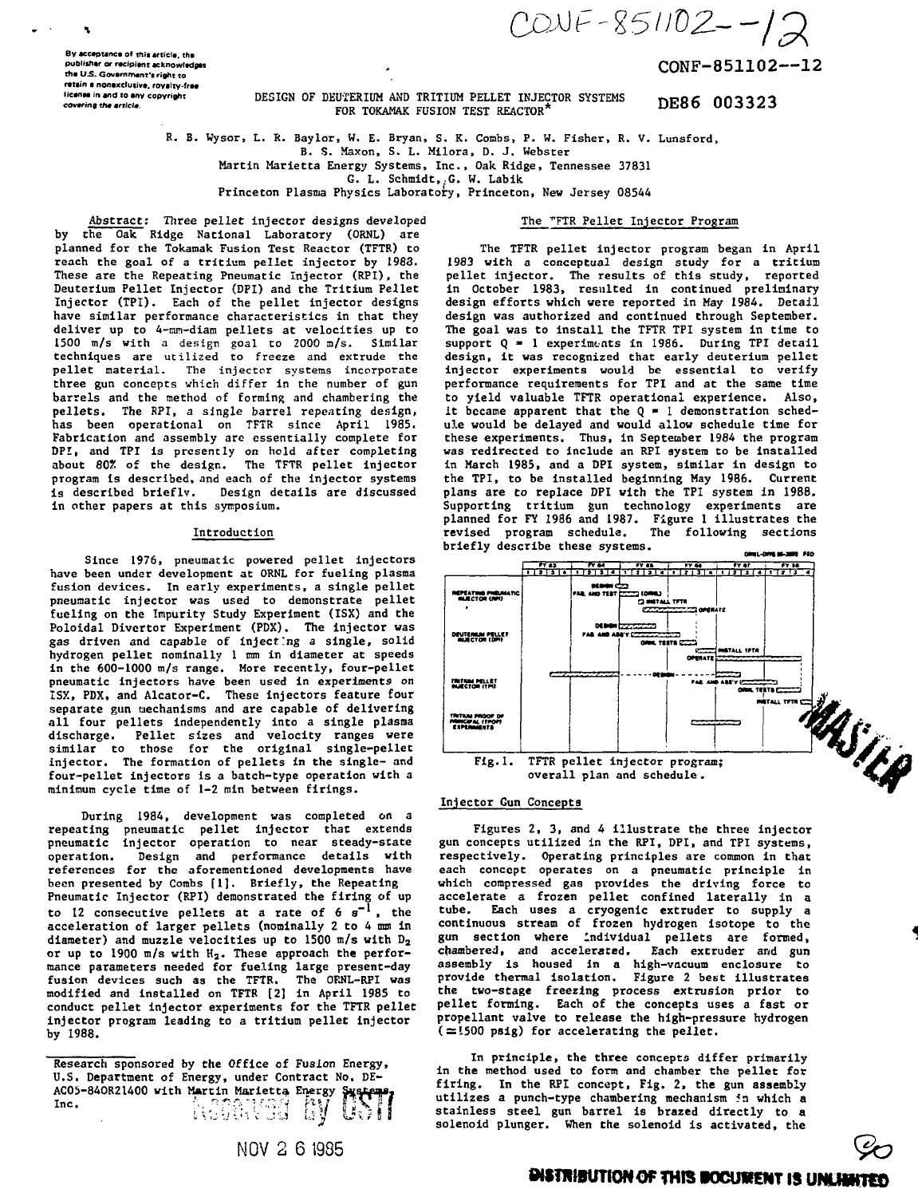$COWF-851102--12$ 

CONF-851102--12

By acceptance of this article, the publisher or recipient acknowledges the U.S. Government's right to retain a nonexclusive, royalty-free ticense in and to any copyright covering the article

#### DESIGN OF DEUTERIUM AND TRITIUM PELLET INJECTOR SYSTEMS DE86 003323 FOR TOKAMAK FUSION TEST REACTOR

R. B. Wysor, L. R. Baylor, W. E. Bryan, S. K. Combs, P. W. Fisher, R. V. Lunsford,

B. S. Maxon, S. L. Milora, D. J. Webster

Martin Marietta Energy Systems, Inc., Oak Ridge, Tennessee 37831

G. L. Schmidt, G. W. Labik

Princeton Plasma Physics Laboratory, Princeton, New Jersey 08544

The "FTR Pellet Injector Program

Abstract: Three pellet injector designs developed by the Oak Ridge National Laboratory (ORNL) are planned for the Tokamak Fusion Test Reactor (TFTR) to reach the goal of a tritium pellet injector by 1988. These are the Repeating Pneumatic Injector (RPI), the Deuterium Pellet Injector (DPI) and the Tritium Pellet Injector (TPI). Each of the pellet injector designs have similar performance characteristics in that they deliver up to 4-mm-diam pellets at velocities up to 1500  $m/s$  with a design goal to 2000  $m/s$ . Similar techniques are utilized to freeze and extrude the pellet material. The injector systems incorporate three gun concepts which differ in the number of gun barrels and the method of forming and chambering the pellets. The RPI, a single barrel repeating design, has been operational on TFTR since April 1985. Fabrication and assembly are essentially complete for DPI, and TPI is presently on hold after completing about 80% of the design. The TFTR pellet injector program is described, and each of the injector systems is described briefly. Design details are discussed in other papers at this symposium.

#### Introduction

Since 1976, pneumatic powered pellet injectors have been under development at ORNL for fueling plasma fusion devices. In early experiments, a single pellet pneumatic injector was used to demonstrate pellet fueling on the Impurity Study Experiment (ISX) and the Poloidal Divertor Experiment (PDX). The injector was gas driven and capable of injecting a single, solid hydrogen pellet nominally 1 mm in diameter at speeds in the 600-1000 m/s range. More recently, four-pellet pneumatic injectors have been used in experiments on<br>ISX, PDX, and Alcator-C. These injectors feature four separate gun mechanisms and are capable of delivering all four pellets independently into a single plasma discharge. Pellet sizes and velocity ranges were<br>similar to those for the original single-pellet injector. The formation of pellets in the single- and four-pellet injectors is a batch-type operation with a minimum cycle time of 1-2 min between firings.

During 1984, development was completed on a repeating pneumatic pellet injector that extends pneumatic injector operation to near steady-state Design and performance details with operation. references for the aforementioned developments have been presented by Combs [1]. Briefly, the Repeating Pneumatic Injector (RPI) demonstrated the firing of up to 12 consecutive pellets at a rate of  $6 \text{ s}^{-1}$ , the acceleration of larger pellets (nominally 2 to 4 mm in diameter) and muzzle velocities up to 1500 m/s with  $D_2$ or up to 1900 m/s with H<sub>2</sub>. These approach the performance parameters needed for fueling large present-day<br>fusion devices such as the TFTR. The ORNL-RPI was modified and installed on TFTR [2] in April 1985 to conduct pellet injector experiments for the TFTR pellet injector program leading to a tritium pellet injector by 1988.





# Injector Gun Concepts

Figures 2, 3, and 4 illustrate the three injector gun concepts utilized in the RPI, DPI, and TPI systems, respectively. Operating principles are common in that<br>each concept operates on a pneumatic principle in which compressed gas provides the driving force to accelerate a frozen pellet confined laterally in a tube. Each uses a cryogenic extruder to supply a<br>continuous stream of frozen hydrogen isotope to the gun section where individual pellets are formed, chambered, and accelerated. Each extruder and gun assembly is housed in a high-vacuum enclosure to provide thermal isolation. Figure 2 best illustrates the two-stage freezing process extrusion prior to<br>pellet forming. Each of the concepts uses a fast or propellant valve to release the high-pressure hydrogen  $( \simeq 1500 \text{ psig})$  for accelerating the pellet.

In principle, the three concepts differ primarily in the method used to form and chamber the pellet for firing. In the RPI concept, Fig. 2, the gun assembly utilizes a punch-type chambering mechanism in which a stainless steel gun barrel is brazed directly to a solenoid plunger. When the solenoid is activated, the



Research sponsored by the Office of Fusion Energy, U.S. Department of Energy, under Contract No. DE-ACOS-840R21400 with Martin Marietta Energy Supreme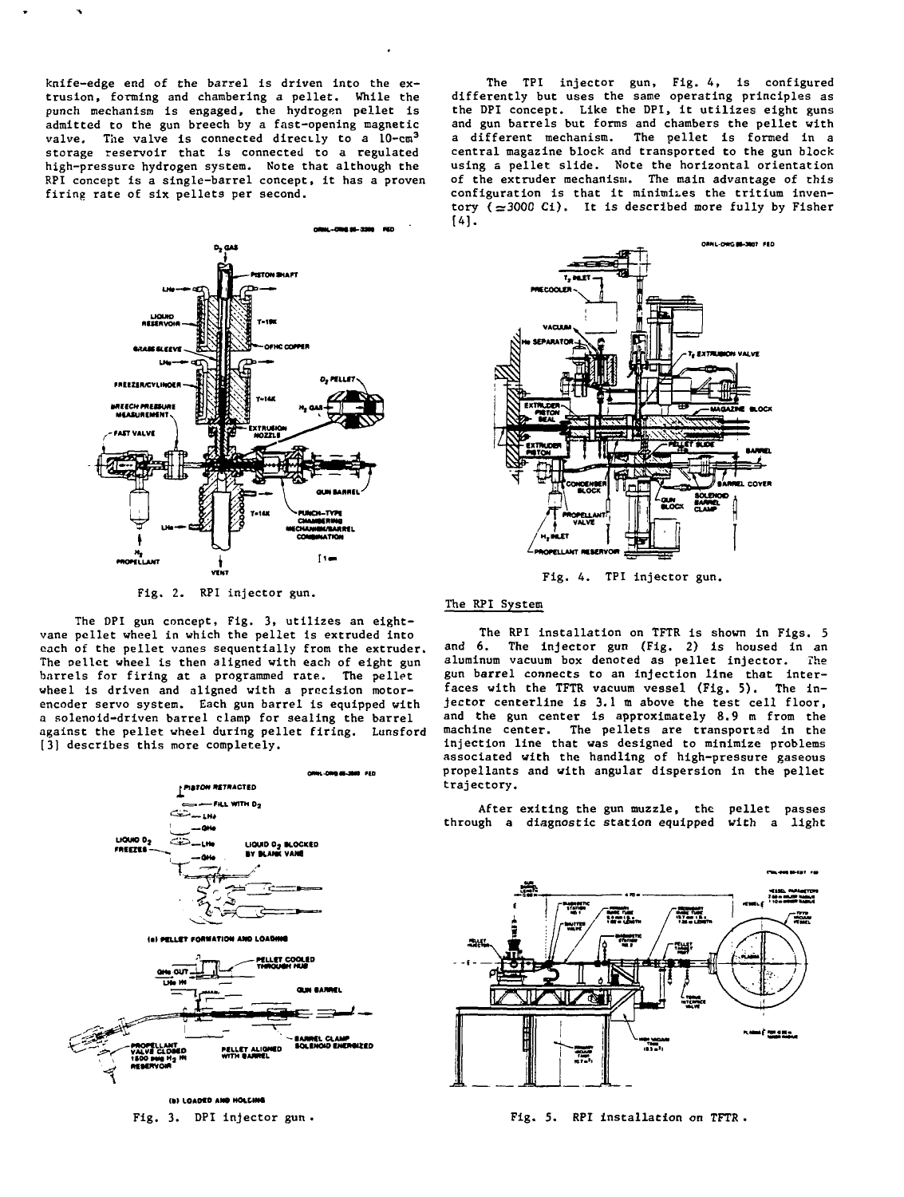**knife-edge end of the barrel is driven into the extrusion, forming and chambering a pellet. While the punch mechanism is engaged, the hydrogen pellet is admitted to the gun breech by a fast-opening magnetic valve. The valve is connected directly to a 10-cm<sup>3</sup> storage reservoir that is connected to a regulated high-pressure hydrogen system. Note that although the RPI concept is a single-barrel concept, it has a proven firing rate of six pellets per second.**

**The TPI injector gun, Fig. 4, is configured differently but uses the same operating principles as the DPI concept. Like the DPI, it utilizes eight guns and gun barrels but forms and chambers the pellet with a different mechanism. The pellet is formed in a central magazine block and transported to the gun block using a pellet slide. Note the horizontal orientation of the extruder mechanism. The main advantage of this configuration is that it minimizes the tritium inventory (=300C Ci). It is described more fully by Fisher**  $[4]$ .



**Fig. 2. RPI injector gun.**

**The DPI gun concept, Fig. 3, utilizes an eightvane pellet wheel in which the pellet is extruded into each of the pellet vanes sequentially from the extruder. The Delict wheel is then aligned with each of eight gun barrels for firing at a programmed rate. The pellet wheel is driven and aligned with a precision motorencoder servo system. Each gun barrel is equipped with a solenoid-driven barrel clamp for sealing the barrel against the pellet wheel during pellet firing. Lunsford [3] describes this more completely.**





**Fig. 4. TPI injector gun.**

# **The RPI System**

**The RPI installation on TFTR is shown in Figs. 5 and 6. The injector gun (Fig. 2) is housed in an aluminum vacuum box denoted as pellet injector. The gun barrel connects to an injection line that interfaces with the TFTR vacuum vessel (Fig. 5). The injector centerline is 3.1 m above the test cell floor, and the gun center is approximately 8.9 m from the machine center. The pellets are transported in the injection line that was designed to minimize problems associated with the handling of high-pressure gaseous propellants and with angular dispersion in the pellet trajectory.**

**After exiting the gun muzzle, the pellet passes through a diagnostic station equipped with a light**



**Fig. 3. DPI injector gun , Fig. 5. RPI installation on TFTR .**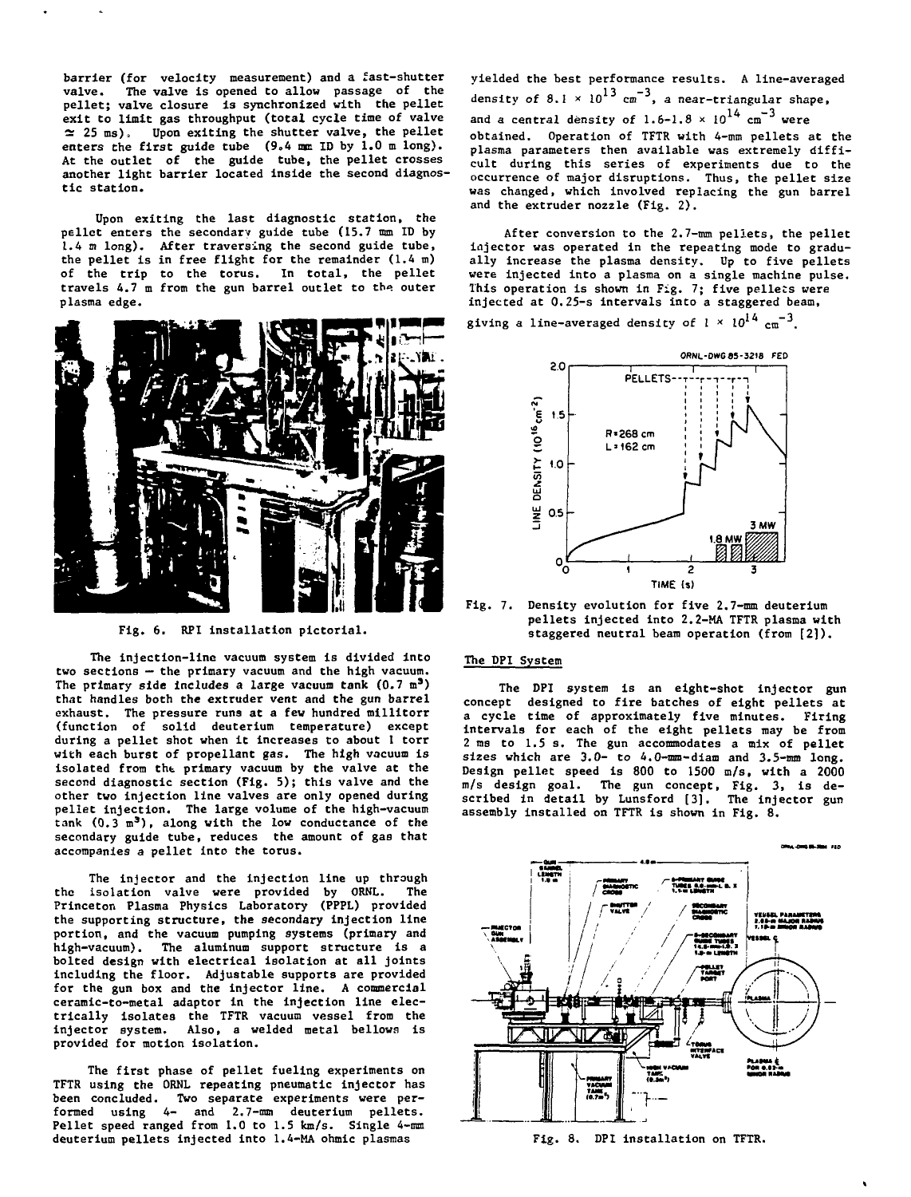**barrier (for velocity measurement) and a fast-shutter valve. The valve is opened to allow passage of the pellet; valve closure is synchronized with the pellet exit Co limit gas throughput (total cycle time of valve**  $\approx$  25 ms), Upon exiting the shutter valve, the pellet **enters the first guide tube (9.4 nm ID by 1.0 m long). At the outlet of the guide tube, the pellet crosses another light barrier located inside the second diagnostic station.**

**Upon exiting the last diagnostic station, the pellet enters the secondary guide tube (15.7 mm ID by 1.4 si long). After traversing the second guide tube, the pellet is in free flight for the remainder (1.4 m) of the trip to the torus. In total, the pellet travels 4.7 m from the gun barrel outlet to the. outer plasma edge.**



**Fig. 6. RPI installation pictorial.**

**The injection-line vacuum system is divided into two sections — the primary vacuum and the high vacuum. The primary side includes a large vacuum tank (0.7 m<sup>3</sup> ) that handles both the extruder vent and the gun barrel exhaust. The pressure runs at a few hundred millitorr (function of solid deuterium temperature) except during a pellet shot when it increases to about 1 torr with each burst of propellant gas. The high vacuum is isolated from tht primary vacuum by the valve at the second diagnostic section (Fig. 5); this valve and the other two injection line valves are only opened during pellet injection. The large volume of the high-vacuum tank (0.3 m <sup>3</sup> ) , along with the low conductance of the secondary guide tube, reduces the amount of gas that accompanies a pellet into the torus.**

**The injector and the injection line up through the isolation valve were provided by ORNL. The Princeton Plasma Physics Laboratory (PPPL) provided the supporting structure, the secondary injection line portion, and the vacuum pumping systems (primary and high-vacuum). The aluminum support structure is a bolted design with electrical isolation at all joints including the floor. Adjustable supports are provided for the gun box and the injector line. A commercial ceramic-to-metal adaptor in the injection line electrically isolates the TFTR vacuum vessel from the injector system. Also, a welded metal bellows is provided for motion isolation.**

**The first phase of pellet fueling experiments on TFTR using the ORNL repeating pneumatic injector has been concluded. Two separate experiments were performed using 4- and 2.7-mm deuterium pellets. Pellet speed ranged from 1.0 to 1.5 km/s. Single 4-mm** deuterium pellets injected into 1.4-MA ohmic plasmas

**yielded the best performance results. A line-averaged density of 8.1 x 10<sup>1</sup> <sup>3</sup> cm"<sup>3</sup>, a near-triangular shape,** and a central density of  $1.6\textrm{--}1.8$  ×  $10^{14}$   $\textrm{cm}^{-3}$  were **obtained. Operation of TFTR with 4-mm pellets at the plasma parameters then available was extremely difficult during this series of experiments due to the occurrence of major disruptions. Thus, the pellet size was changed, which involved replacing the gun barrel and the extruder nozzle (Fig. 2).**

**After conversion to the 2.7-mm pellets, the pellet injector was operated in the repeating mode to gradually increase the plasma density. Up to five pellets were injected into a plasma on a single machine pulse. This operation is shown in Fig. 7; five pellets were injected at 0.25-s intervals into a staggered beam,**

giving a line-averaged density of  $1 \times 10^{14}$   $\text{cm}^{-3}$ .



**Fig. 7. Density evolution for five 2.7-mm deuterium pellets injected into 2.2-MA TFTR plasma with staggered neutral beam operation (from [2]).**

# **The DPI System**

**The DPI system is an eight-shot injector gun concept designed to fire batches of eight pellets at a cycle time of approximately five minutes. Firing intervals for each of the eight pellets may be from 2 ms to 1.5 s. The gun accommodates a mix of pellet sizes which are 3.0- to 4.0-mm-diam and 3.5-mm long. Design pellet speed is 800 to 1500 m/s, with a 2000 m/s design goal. The gun concept, Fig. 3, is described in detail by Lunsford [3]. The injector gun assembly installed on TFTR is shown in Fig. 8.**



**Fig. 8. DPI installation on TFTR.**